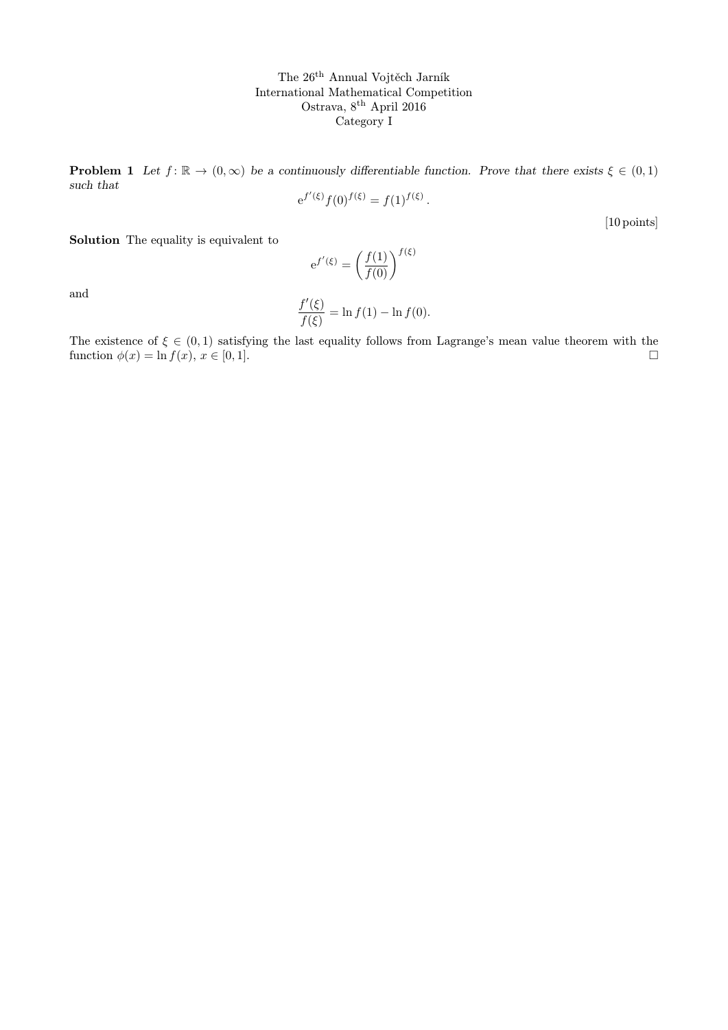The 26th Annual Vojtěch Jarník International Mathematical Competition Ostrava, 8<sup>th</sup> April 2016 Category I

**Problem 1** Let  $f: \mathbb{R} \to (0, \infty)$  be a continuously differentiable function. Prove that there exists  $\xi \in (0, 1)$ such that  $\overline{a}$ 

$$
e^{f'(\xi)} f(0)^{f(\xi)} = f(1)^{f(\xi)}.
$$

[10 points]

Solution The equality is equivalent to

$$
e^{f'(\xi)} = \left(\frac{f(1)}{f(0)}\right)^{f(\xi)}
$$

and

$$
\frac{f'(\xi)}{f(\xi)} = \ln f(1) - \ln f(0).
$$

The existence of  $\xi \in (0,1)$  satisfying the last equality follows from Lagrange's mean value theorem with the function  $\phi(x) = \ln f(x), x \in [0, 1].$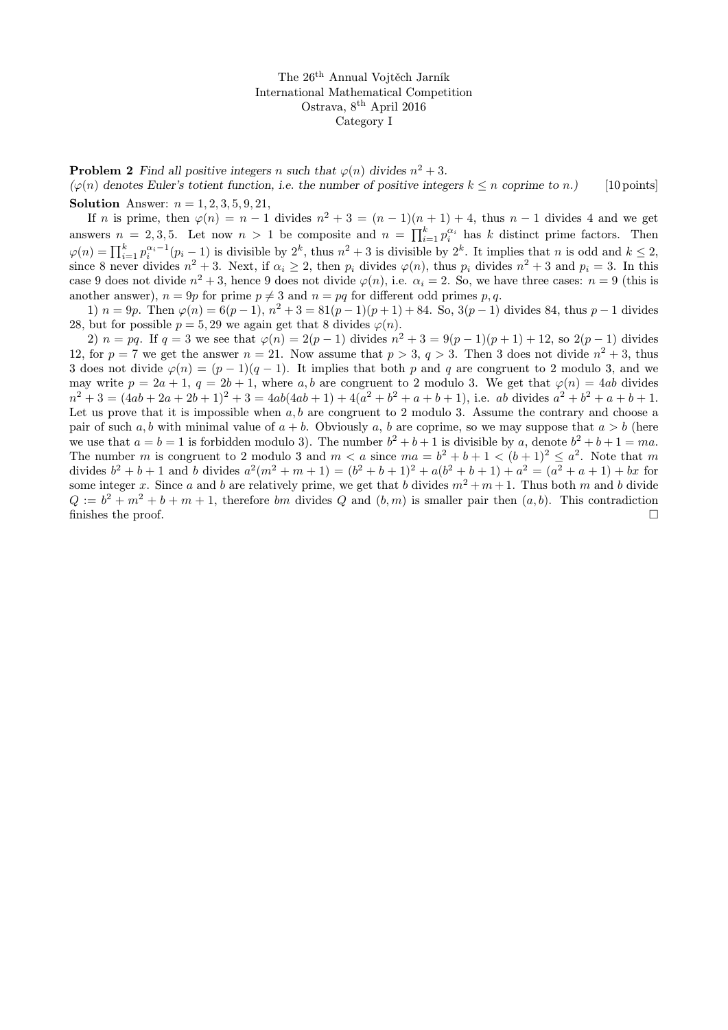The 26th Annual Vojtěch Jarník International Mathematical Competition Ostrava, 8th April 2016 Category I

**Problem 2** Find all positive integers n such that  $\varphi(n)$  divides  $n^2 + 3$ .  $(\varphi(n)$  denotes Euler's totient function, i.e. the number of positive integers  $k \leq n$  coprime to n.) [10 points]

**Solution** Answer:  $n = 1, 2, 3, 5, 9, 21$ ,

If n is prime, then  $\varphi(n) = n - 1$  divides  $n^2 + 3 = (n - 1)(n + 1) + 4$ , thus  $n - 1$  divides 4 and we get answers  $n = 2, 3, 5$ . Let now  $n > 1$  be composite and  $n = \prod_{i=1}^{k} p_i^{\alpha_i}$  has k distinct prime factors. Then  $\varphi(n) = \prod_{i=1}^{k} p_i^{\alpha_i-1}(p_i-1)$  is divisible by  $2^k$ , thus  $n^2+3$  is divisible by  $2^k$ . It implies that n is odd and  $k \leq 2$ , since 8 never divides  $n^2 + 3$ . Next, if  $\alpha_i \ge 2$ , then  $p_i$  divides  $\varphi(n)$ , thus  $p_i$  divides  $n^2 + 3$  and  $p_i = 3$ . In this case 9 does not divide  $n^2 + 3$ , hence 9 does not divide  $\varphi(n)$ , i.e.  $\alpha_i = 2$ . So, we have three cases:  $n = 9$  (this is another answer),  $n = 9p$  for prime  $p \neq 3$  and  $n = pq$  for different odd primes p,q.

1)  $n = 9p$ . Then  $\varphi(n) = 6(p-1)$ ,  $n^2 + 3 = 81(p-1)(p+1) + 84$ . So,  $3(p-1)$  divides 84, thus  $p-1$  divides 28, but for possible  $p = 5, 29$  we again get that 8 divides  $\varphi(n)$ .

2)  $n = pq$ . If  $q = 3$  we see that  $\varphi(n) = 2(p-1)$  divides  $n^2 + 3 = 9(p-1)(p+1) + 12$ , so  $2(p-1)$  divides 12, for  $p = 7$  we get the answer  $n = 21$ . Now assume that  $p > 3$ ,  $q > 3$ . Then 3 does not divide  $n^2 + 3$ , thus 3 does not divide  $\varphi(n) = (p-1)(q-1)$ . It implies that both p and q are congruent to 2 modulo 3, and we may write  $p = 2a + 1$ ,  $q = 2b + 1$ , where a, b are congruent to 2 modulo 3. We get that  $\varphi(n) = 4ab$  divides  $n^2 + 3 = (4ab + 2a + 2b + 1)^2 + 3 = 4ab(4ab + 1) + 4(a^2 + b^2 + a + b + 1)$ , i.e. ab divides  $a^2 + b^2 + a + b + 1$ . Let us prove that it is impossible when  $a, b$  are congruent to 2 modulo 3. Assume the contrary and choose a pair of such a, b with minimal value of  $a + b$ . Obviously a, b are coprime, so we may suppose that  $a > b$  (here we use that  $a = b = 1$  is forbidden modulo 3). The number  $b^2 + b + 1$  is divisible by a, denote  $b^2 + b + 1 = ma$ . The number m is congruent to 2 modulo 3 and  $m < a$  since  $ma = b^2 + b + 1 < (b+1)^2 \le a^2$ . Note that m divides  $b^2 + b + 1$  and b divides  $a^2(m^2 + m + 1) = (b^2 + b + 1)^2 + a(b^2 + b + 1) + a^2 = (a^2 + a + 1) + bx$  for some integer x. Since a and b are relatively prime, we get that b divides  $m^2 + m + 1$ . Thus both m and b divide  $Q := b^2 + m^2 + b + m + 1$ , therefore bm divides Q and  $(b, m)$  is smaller pair then  $(a, b)$ . This contradiction finishes the proof.  $\Box$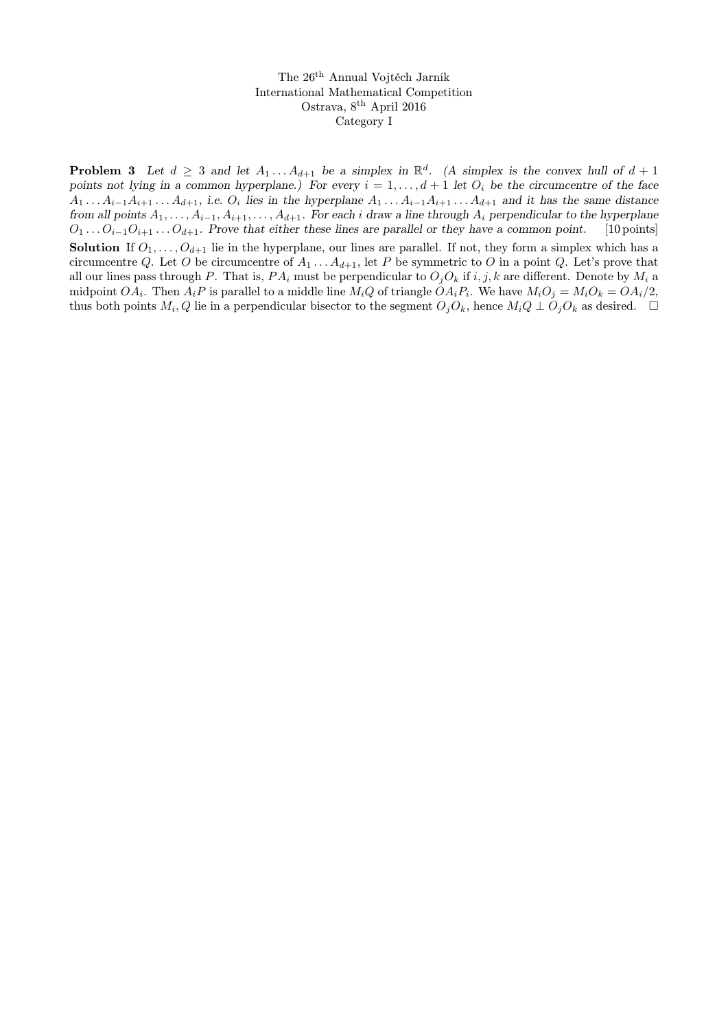The 26th Annual Vojtěch Jarník International Mathematical Competition Ostrava, 8th April 2016 Category I

**Problem 3** Let  $d \geq 3$  and let  $A_1 \ldots A_{d+1}$  be a simplex in  $\mathbb{R}^d$ . (A simplex is the convex hull of  $d+1$ points not lying in a common hyperplane.) For every  $i = 1, \ldots, d + 1$  let  $O_i$  be the circumcentre of the face  $A_1 \ldots A_{i-1}A_{i+1} \ldots A_{d+1}$ , i.e.  $O_i$  lies in the hyperplane  $A_1 \ldots A_{i-1}A_{i+1} \ldots A_{d+1}$  and it has the same distance from all points  $A_1, \ldots, A_{i-1}, A_{i+1}, \ldots, A_{d+1}$ . For each i draw a line through  $A_i$  perpendicular to the hyperplane  $O_1 \ldots O_{i-1}O_{i+1} \ldots O_{d+1}$ . Prove that either these lines are parallel or they have a common point. [10 points] **Solution** If  $O_1, \ldots, O_{d+1}$  lie in the hyperplane, our lines are parallel. If not, they form a simplex which has a circumcentre Q. Let O be circumcentre of  $A_1 \ldots A_{d+1}$ , let P be symmetric to O in a point Q. Let's prove that all our lines pass through P. That is,  $PA_i$  must be perpendicular to  $O_iO_k$  if i, j, k are different. Denote by  $M_i$  a midpoint  $OA_i$ . Then  $A_iP$  is parallel to a middle line  $M_iQ$  of triangle  $OA_iP_i$ . We have  $M_iO_j = M_iO_k = OA_i/2$ , thus both points  $M_i, Q$  lie in a perpendicular bisector to the segment  $O_j O_k$ , hence  $M_i Q \perp O_j O_k$  as desired.  $\Box$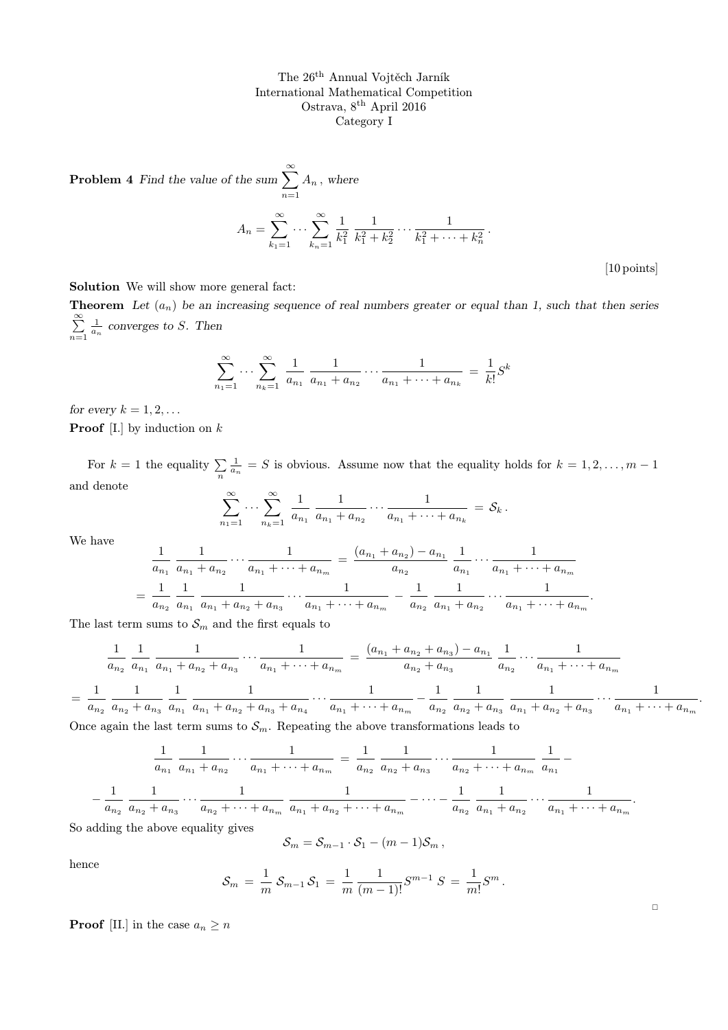The 26th Annual Vojtěch Jarník International Mathematical Competition Ostrava, 8th April 2016 Category I

**Problem 4** Find the value of the sum 
$$
\sum_{n=1}^{\infty} A_n
$$
, where  

$$
A_n = \sum_{k_1=1}^{\infty} \cdots \sum_{k_n=1}^{\infty} \frac{1}{k_1^2} \frac{1}{k_1^2 + k_2^2} \cdots \frac{1}{k_1^2 + \cdots + k_n^2}
$$

[10 points]

.

Solution We will show more general fact:

**Theorem** Let  $(a_n)$  be an increasing sequence of real numbers greater or equal than 1, such that then series  $\sum_{i=1}^{\infty}$  $n=1$  $\frac{1}{a_n}$  converges to S. Then

.

$$
\sum_{n_1=1}^{\infty} \cdots \sum_{n_k=1}^{\infty} \frac{1}{a_{n_1}} \frac{1}{a_{n_1} + a_{n_2}} \cdots \frac{1}{a_{n_1} + \cdots + a_{n_k}} = \frac{1}{k!} S^k
$$

for every  $k = 1, 2, \ldots$ 

**Proof** [I.] by induction on  $k$ 

For  $k = 1$  the equality  $\sum_{n=1}^{\infty}$  $\frac{1}{a_n} = S$  is obvious. Assume now that the equality holds for  $k = 1, 2, ..., m - 1$ and denote

$$
\sum_{n_1=1}^{\infty}\cdots\sum_{n_k=1}^{\infty}\frac{1}{a_{n_1}}\,\frac{1}{a_{n_1}+a_{n_2}}\cdots\frac{1}{a_{n_1}+\cdots+a_{n_k}}\,=\,\mathcal{S}_k\,.
$$

We have

$$
\frac{1}{a_{n_1}} \frac{1}{a_{n_1} + a_{n_2}} \cdots \frac{1}{a_{n_1} + \cdots + a_{n_m}} = \frac{(a_{n_1} + a_{n_2}) - a_{n_1}}{a_{n_2}} \frac{1}{a_{n_1}} \cdots \frac{1}{a_{n_1} + \cdots + a_{n_m}}
$$

$$
= \frac{1}{a_{n_2}} \frac{1}{a_{n_1}} \frac{1}{a_{n_1} + a_{n_2} + a_{n_3}} \cdots \frac{1}{a_{n_1} + \cdots + a_{n_m}} - \frac{1}{a_{n_2}} \frac{1}{a_{n_1} + a_{n_2}} \cdots \frac{1}{a_{n_1} + \cdots + a_{n_m}}
$$

The last term sums to  $\mathcal{S}_m$  and the first equals to

$$
\frac{1}{a_{n_2}} \frac{1}{a_{n_1}} \frac{1}{a_{n_1} + a_{n_2} + a_{n_3}} \cdots \frac{1}{a_{n_1} + \cdots + a_{n_m}} = \frac{(a_{n_1} + a_{n_2} + a_{n_3}) - a_{n_1}}{a_{n_2} + a_{n_3}} \frac{1}{a_{n_2}} \cdots \frac{1}{a_{n_1} + \cdots + a_{n_m}}
$$
\n
$$
= \frac{1}{a_{n_2}} \frac{1}{a_{n_2} + a_{n_3}} \frac{1}{a_{n_1}} \frac{1}{a_{n_1} + a_{n_2} + a_{n_3} + a_{n_4}} \cdots \frac{1}{a_{n_1} + \cdots + a_{n_m}} - \frac{1}{a_{n_2}} \frac{1}{a_{n_2} + a_{n_3}} \frac{1}{a_{n_1} + a_{n_2} + a_{n_3}} \cdots \frac{1}{a_{n_1} + \cdots + a_{n_m}}.
$$

Once again the last term sums to  $S_m$ . Repeating the above transformations leads to

$$
\frac{1}{a_{n_1}} \frac{1}{a_{n_1} + a_{n_2}} \cdots \frac{1}{a_{n_1} + \cdots + a_{n_m}} = \frac{1}{a_{n_2}} \frac{1}{a_{n_2} + a_{n_3}} \cdots \frac{1}{a_{n_2} + \cdots + a_{n_m}} \frac{1}{a_{n_1}} - \frac{1}{a_{n_2} + a_{n_3}} \cdots \frac{1}{a_{n_2} + a_{n_3}} \cdots \frac{1}{a_{n_1} + a_{n_2} + \cdots + a_{n_m}} \frac{1}{a_{n_1} + a_{n_2} + \cdots + a_{n_m}} - \cdots - \frac{1}{a_{n_2}} \frac{1}{a_{n_1} + a_{n_2} + \cdots + a_{n_m}}
$$

So adding the above equality gives

$$
\mathcal{S}_m=\mathcal{S}_{m-1}\cdot\mathcal{S}_1-(m-1)\mathcal{S}_m\,,
$$

hence

−

$$
S_m = \frac{1}{m} S_{m-1} S_1 = \frac{1}{m} \frac{1}{(m-1)!} S^{m-1} S = \frac{1}{m!} S^m.
$$

**Proof** [II.] in the case  $a_n \geq n$ 

 $\Box$ 

.